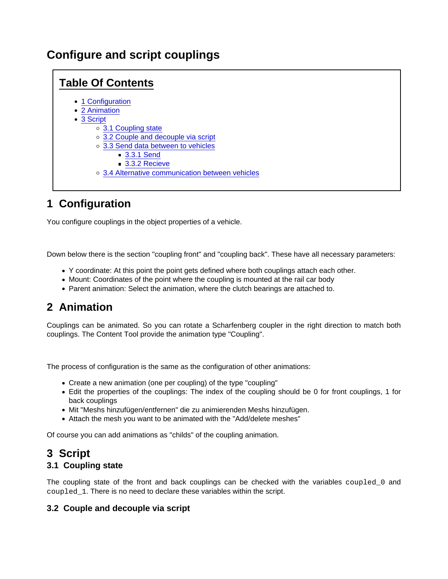# Configure and script couplings

## Table Of Contents • [1 Configuratio](https://www.lotus-simulator.de/lexikon/index.php?entry/191-configure-and-script-couplings/#1-Configuration)n [2 Animatio](https://www.lotus-simulator.de/lexikon/index.php?entry/191-configure-and-script-couplings/#2-Animation)n [3 Scrip](https://www.lotus-simulator.de/lexikon/index.php?entry/191-configure-and-script-couplings/#3-Script)t [3.1 Coupling sta](https://www.lotus-simulator.de/lexikon/index.php?entry/191-configure-and-script-couplings/#3.1-Coupling-state)te [3.2 Couple and decouple via scr](https://www.lotus-simulator.de/lexikon/index.php?entry/191-configure-and-script-couplings/#3.2-Couple-and-decouple-via-script)ipt [3.3 Send data between to vehic](https://www.lotus-simulator.de/lexikon/index.php?entry/191-configure-and-script-couplings/#3.3-Send-data-between-to-vehicles)les ■ [3.3.1 S](https://www.lotus-simulator.de/lexikon/index.php?entry/191-configure-and-script-couplings/#3.3.1-Send)end ■ [3.3.2 Rec](https://www.lotus-simulator.de/lexikon/index.php?entry/191-configure-and-script-couplings/#3.3.2-Recieve)ieve [3.4 Alternative communication between vehic](https://www.lotus-simulator.de/lexikon/index.php?entry/191-configure-and-script-couplings/#3.4-Alternative-communication-between-vehicles)les

# 1 Configuration

You configure couplings in the object properties of a vehicle.

Down below there is the section "coupling front" and "coupling back". These have all necessary parameters:

- Y coordinate: At this point the point gets defined where both couplings attach each other.
- Mount: Coordinates of the point where the coupling is mounted at the rail car body
- Parent animation: Select the animation, where the clutch bearings are attached to.

# 2 Animation

Couplings can be animated. So you can rotate a Scharfenberg coupler in the right direction to match both couplings. The Content Tool provide the animation type "Coupling".

The process of configuration is the same as the configuration of other animations:

- Create a new animation (one per coupling) of the type "coupling"
- Edit the properties of the couplings: The index of the coupling should be 0 for front couplings, 1 for back couplings
- Mit "Meshs hinzufügen/entfernen" die zu animierenden Meshs hinzufügen.
- Attach the mesh you want to be animated with the "Add/delete meshes"

Of course you can add animations as "childs" of the coupling animation.

# 3 Script

### 3.1 Coupling state

The coupling state of the front and back couplings can be checked with the variables coupled\_0 and coupled\_1 . There is no need to declare these variables within the script.

### 3.2 Couple and decouple via script